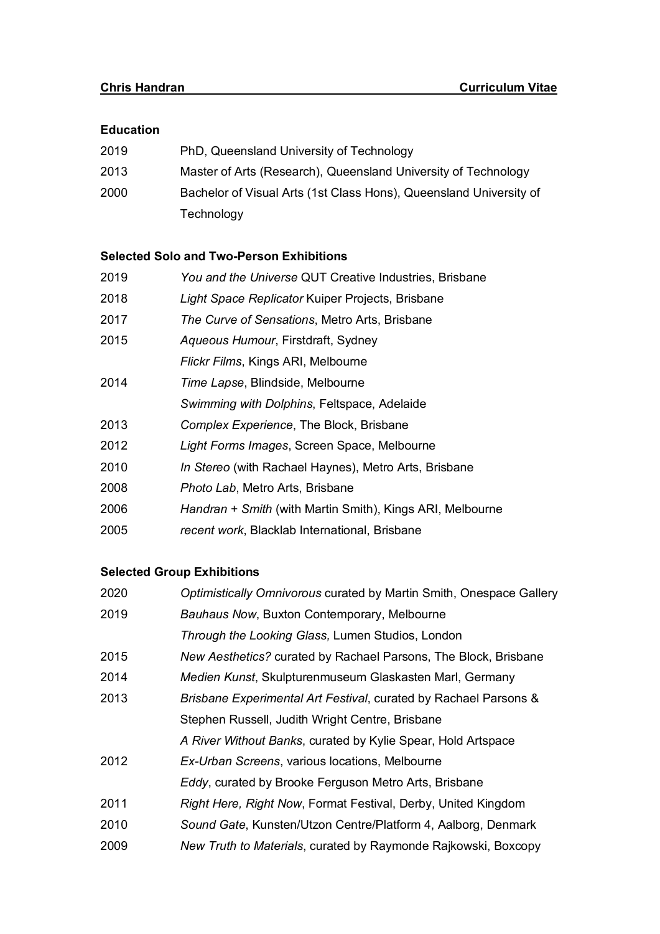### **Education**

| 2019 | PhD, Queensland University of Technology                           |
|------|--------------------------------------------------------------------|
| 2013 | Master of Arts (Research), Queensland University of Technology     |
| 2000 | Bachelor of Visual Arts (1st Class Hons), Queensland University of |
|      | Technology                                                         |

## **Selected Solo and Two-Person Exhibitions**

| 2019 | You and the Universe QUT Creative Industries, Brisbane    |
|------|-----------------------------------------------------------|
| 2018 | Light Space Replicator Kuiper Projects, Brisbane          |
| 2017 | The Curve of Sensations, Metro Arts, Brisbane             |
| 2015 | Aqueous Humour, Firstdraft, Sydney                        |
|      | Flickr Films, Kings ARI, Melbourne                        |
| 2014 | Time Lapse, Blindside, Melbourne                          |
|      | Swimming with Dolphins, Feltspace, Adelaide               |
| 2013 | Complex Experience, The Block, Brisbane                   |
| 2012 | Light Forms Images, Screen Space, Melbourne               |
| 2010 | In Stereo (with Rachael Haynes), Metro Arts, Brisbane     |
| 2008 | Photo Lab, Metro Arts, Brisbane                           |
| 2006 | Handran + Smith (with Martin Smith), Kings ARI, Melbourne |
| 2005 | recent work, Blacklab International, Brisbane             |

# **Selected Group Exhibitions**

| 2020 | Optimistically Omnivorous curated by Martin Smith, Onespace Gallery |
|------|---------------------------------------------------------------------|
| 2019 | Bauhaus Now, Buxton Contemporary, Melbourne                         |
|      | Through the Looking Glass, Lumen Studios, London                    |
| 2015 | New Aesthetics? curated by Rachael Parsons, The Block, Brisbane     |
| 2014 | Medien Kunst, Skulpturenmuseum Glaskasten Marl, Germany             |
| 2013 | Brisbane Experimental Art Festival, curated by Rachael Parsons &    |
|      | Stephen Russell, Judith Wright Centre, Brisbane                     |
|      | A River Without Banks, curated by Kylie Spear, Hold Artspace        |
| 2012 | Ex-Urban Screens, various locations, Melbourne                      |
|      | Eddy, curated by Brooke Ferguson Metro Arts, Brisbane               |
| 2011 | Right Here, Right Now, Format Festival, Derby, United Kingdom       |
| 2010 | Sound Gate, Kunsten/Utzon Centre/Platform 4, Aalborg, Denmark       |
| 2009 | New Truth to Materials, curated by Raymonde Rajkowski, Boxcopy      |
|      |                                                                     |